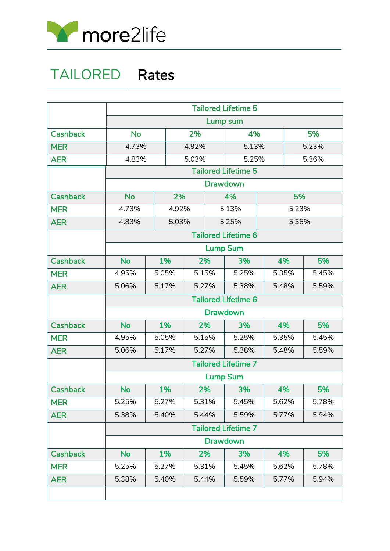

## TAILORED | Rates

|                 | <b>Tailored Lifetime 5</b>                    |       |       |       |       |                 |       |       |       |
|-----------------|-----------------------------------------------|-------|-------|-------|-------|-----------------|-------|-------|-------|
|                 | Lump sum                                      |       |       |       |       |                 |       |       |       |
| <b>Cashback</b> | <b>No</b>                                     |       |       | 2%    |       | 4%              |       |       | 5%    |
| <b>MER</b>      | 4.73%                                         |       | 4.92% |       | 5.13% |                 | 5.23% |       |       |
| <b>AER</b>      | 4.83%                                         |       | 5.03% |       | 5.25% |                 | 5.36% |       |       |
|                 | <b>Tailored Lifetime 5</b>                    |       |       |       |       |                 |       |       |       |
|                 | <b>Drawdown</b>                               |       |       |       |       |                 |       |       |       |
| <b>Cashback</b> | <b>No</b>                                     |       | 2%    |       | 4%    |                 |       | 5%    |       |
| <b>MER</b>      | 4.73%                                         |       | 4.92% |       |       | 5.13%           |       | 5.23% |       |
| <b>AER</b>      | 4.83%                                         |       | 5.03% |       |       | 5.25%           |       | 5.36% |       |
|                 | <b>Tailored Lifetime 6</b>                    |       |       |       |       |                 |       |       |       |
|                 |                                               |       |       |       |       | <b>Lump Sum</b> |       |       |       |
| <b>Cashback</b> | <b>No</b>                                     | 1%    |       | 2%    |       | 3%              |       | 4%    | 5%    |
| <b>MER</b>      | 4.95%                                         | 5.05% |       | 5.15% |       | 5.25%           |       | 5.35% | 5.45% |
| <b>AER</b>      | 5.06%                                         | 5.17% |       | 5.27% |       | 5.38%           |       | 5.48% | 5.59% |
|                 | <b>Tailored Lifetime 6</b>                    |       |       |       |       |                 |       |       |       |
|                 |                                               |       |       |       |       | <b>Drawdown</b> |       |       |       |
| <b>Cashback</b> | <b>No</b>                                     | 1%    |       | 2%    |       | 3%              |       | 4%    | 5%    |
| <b>MER</b>      | 4.95%                                         | 5.05% |       | 5.15% |       | 5.25%           |       | 5.35% | 5.45% |
| <b>AER</b>      | 5.06%                                         | 5.17% |       | 5.27% |       | 5.38%           |       | 5.48% | 5.59% |
|                 | <b>Tailored Lifetime 7</b>                    |       |       |       |       |                 |       |       |       |
|                 |                                               |       |       |       |       | <b>Lump Sum</b> |       |       |       |
| <b>Cashback</b> | <b>No</b>                                     | 1%    |       | 2%    |       | 3%              |       | 4%    | 5%    |
| <b>MER</b>      | 5.25%                                         | 5.27% |       | 5.31% |       | 5.45%           |       | 5.62% | 5.78% |
| <b>AER</b>      | 5.38%                                         | 5.40% |       | 5.44% |       | 5.59%           |       | 5.77% | 5.94% |
|                 | <b>Tailored Lifetime 7</b><br><b>Drawdown</b> |       |       |       |       |                 |       |       |       |
|                 |                                               |       |       |       |       |                 |       |       |       |
| <b>Cashback</b> | <b>No</b>                                     | 1%    |       | 2%    |       | 3%              |       | 4%    | 5%    |
| <b>MER</b>      | 5.25%                                         |       | 5.27% |       | 5.31% | 5.45%           |       | 5.62% | 5.78% |
| <b>AER</b>      | 5.38%                                         | 5.40% |       | 5.44% |       | 5.59%           |       | 5.77% | 5.94% |
|                 |                                               |       |       |       |       |                 |       |       |       |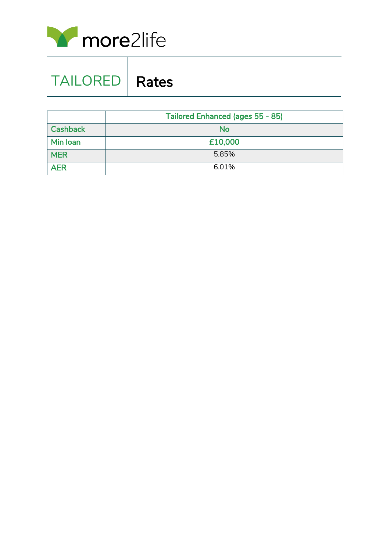

| <b>TAILORED   Rates</b> |  |
|-------------------------|--|
|                         |  |

|                 | Tailored Enhanced (ages 55 - 85) |  |  |  |
|-----------------|----------------------------------|--|--|--|
| <b>Cashback</b> | <b>No</b>                        |  |  |  |
| Min Ioan        | £10,000                          |  |  |  |
| <b>MER</b>      | 5.85%                            |  |  |  |
| <b>AER</b>      | 6.01%                            |  |  |  |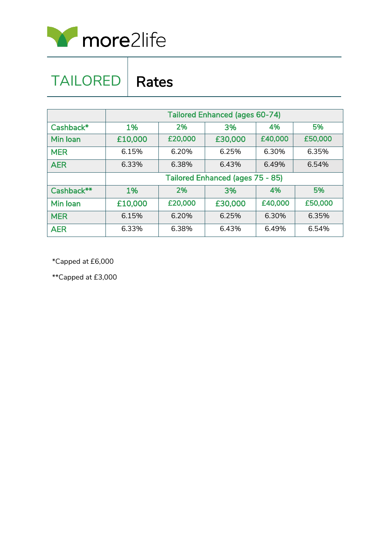

## TAILORED | Rates

|            | <b>Tailored Enhanced (ages 60-74)</b>   |         |         |         |         |  |
|------------|-----------------------------------------|---------|---------|---------|---------|--|
| Cashback*  | 1%                                      | 2%      | 3%      | 4%      | 5%      |  |
| Min Ioan   | £10,000                                 | £20,000 | £30,000 | £40,000 | £50,000 |  |
| <b>MER</b> | 6.15%                                   | 6.20%   | 6.25%   | 6.30%   | 6.35%   |  |
| <b>AER</b> | 6.33%                                   | 6.38%   | 6.43%   | 6.49%   | 6.54%   |  |
|            | <b>Tailored Enhanced (ages 75 - 85)</b> |         |         |         |         |  |
| Cashback** | 1%                                      | 2%      | 3%      | 4%      | 5%      |  |
| Min Ioan   | £10,000                                 | £20,000 | £30,000 | £40,000 | £50,000 |  |
| <b>MER</b> | 6.15%                                   | 6.20%   | 6.25%   | 6.30%   | 6.35%   |  |
| <b>AER</b> | 6.33%                                   | 6.38%   | 6.43%   | 6.49%   | 6.54%   |  |

\*Capped at £6,000

\*\*Capped at £3,000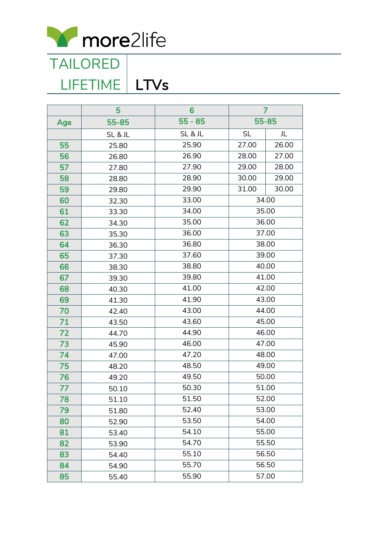

LIFETIME | LTVs

|     | 5     | 6         | 7         |       |
|-----|-------|-----------|-----------|-------|
| Age | 55-85 | $55 - 85$ |           | 55-85 |
|     | SL&JL | SL&JL     | <b>SL</b> | 儿     |
| 55  | 25.80 | 25.90     | 27.00     | 26.00 |
| 56  | 26.80 | 26.90     | 28.00     | 27.00 |
| 57  | 27.80 | 27.90     | 29.00     | 28.00 |
| 58  | 28.80 | 28.90     | 30.00     | 29.00 |
| 59  | 29.80 | 29.90     | 31.00     | 30.00 |
| 60  | 32.30 | 33.00     | 34.00     |       |
| 61  | 33.30 | 34.00     | 35.00     |       |
| 62  | 34.30 | 35.00     |           | 36.00 |
| 63  | 35.30 | 36.00     | 37.00     |       |
| 64  | 36.30 | 36.80     | 38.00     |       |
| 65  | 37.30 | 37.60     | 39.00     |       |
| 66  | 38.30 | 38.80     | 40.00     |       |
| 67  | 39.30 | 39.80     | 41.00     |       |
| 68  | 40.30 | 41.00     | 42.00     |       |
| 69  | 41.30 | 41.90     | 43.00     |       |
| 70  | 42.40 | 43.00     | 44.00     |       |
| 71  | 43.50 | 43.60     | 45.00     |       |
| 72  | 44.70 | 44.90     | 46.00     |       |
| 73  | 45.90 | 46.00     | 47.00     |       |
| 74  | 47.00 | 47.20     | 48.00     |       |
| 75  | 48.20 | 48.50     | 49.00     |       |
| 76  | 49.20 | 49.50     | 50.00     |       |
| 77  | 50.10 | 50.30     | 51.00     |       |
| 78  | 51.10 | 51.50     | 52.00     |       |
| 79  | 51.80 | 52.40     | 53.00     |       |
| 80  | 52.90 | 53.50     | 54.00     |       |
| 81  | 53.40 | 54.10     | 55.00     |       |
| 82  | 53.90 | 54.70     |           | 55.50 |
| 83  | 54.40 | 55.10     |           | 56.50 |
| 84  | 54.90 | 55.70     | 56.50     |       |
| 85  | 55.40 | 55.90     | 57.00     |       |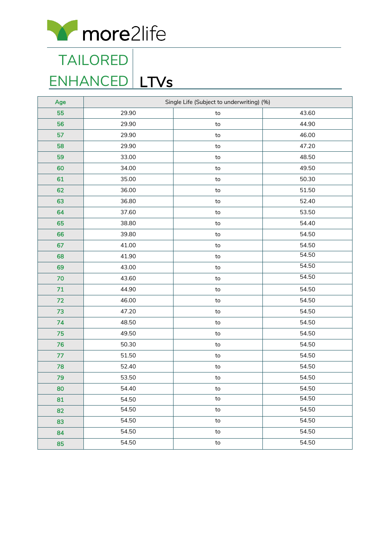

## <u>ENHANCED LTVs</u> TAILORED

| Age | Single Life (Subject to underwriting) (%) |            |       |  |
|-----|-------------------------------------------|------------|-------|--|
| 55  | 29.90                                     | ${\sf to}$ | 43.60 |  |
| 56  | 29.90                                     | to         | 44.90 |  |
| 57  | 29.90                                     | ${\sf to}$ | 46.00 |  |
| 58  | 29.90                                     | to         | 47.20 |  |
| 59  | 33.00                                     | to         | 48.50 |  |
| 60  | 34.00                                     | ${\sf to}$ | 49.50 |  |
| 61  | 35.00                                     | to         | 50.30 |  |
| 62  | 36.00                                     | to         | 51.50 |  |
| 63  | 36.80                                     | to         | 52.40 |  |
| 64  | 37.60                                     | to         | 53.50 |  |
| 65  | 38.80                                     | ${\sf to}$ | 54.40 |  |
| 66  | 39.80                                     | to         | 54.50 |  |
| 67  | 41.00                                     | to         | 54.50 |  |
| 68  | 41.90                                     | to         | 54.50 |  |
| 69  | 43.00                                     | to         | 54.50 |  |
| 70  | 43.60                                     | ${\sf to}$ | 54.50 |  |
| 71  | 44.90                                     | to         | 54.50 |  |
| 72  | 46.00                                     | ${\sf to}$ | 54.50 |  |
| 73  | 47.20                                     | to         | 54.50 |  |
| 74  | 48.50                                     | to         | 54.50 |  |
| 75  | 49.50                                     | to         | 54.50 |  |
| 76  | 50.30                                     | to         | 54.50 |  |
| 77  | 51.50                                     | ${\sf to}$ | 54.50 |  |
| 78  | 52.40                                     | ${\sf to}$ | 54.50 |  |
| 79  | 53.50                                     | to         | 54.50 |  |
| 80  | 54.40                                     | to         | 54.50 |  |
| 81  | 54.50                                     | to         | 54.50 |  |
| 82  | 54.50                                     | to         | 54.50 |  |
| 83  | 54.50                                     | to         | 54.50 |  |
| 84  | 54.50                                     | to         | 54.50 |  |
| 85  | 54.50                                     | to         | 54.50 |  |